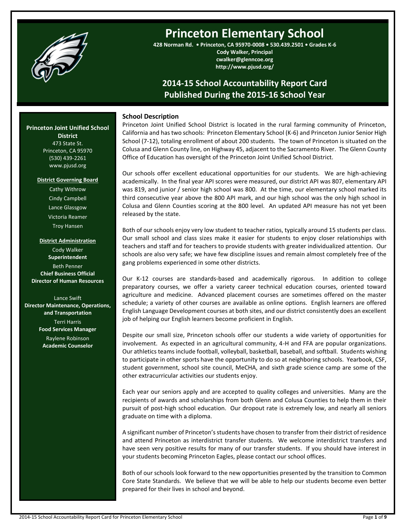

# **Princeton Elementary School**

**428 Norman Rd. • Princeton, CA 95970-0008 • 530.439.2501 • Grades K-6**

**Cody Walker, Principal cwalker@glenncoe.org http://www.pjusd.org/**

# **2014-15 School Accountability Report Card Published During the 2015-16 School Year**

# **School Description**

Princeton Joint Unified School District is located in the rural farming community of Princeton, California and has two schools: Princeton Elementary School (K-6) and Princeton Junior Senior High School (7-12), totaling enrollment of about 200 students. The town of Princeton is situated on the Colusa and Glenn County line, on Highway 45, adjacent to the Sacramento River. The Glenn County Office of Education has oversight of the Princeton Joint Unified School District.

Our schools offer excellent educational opportunities for our students. We are high-achieving academically. In the final year API scores were measured, our district API was 807, elementary API was 819, and junior / senior high school was 800. At the time, our elementary school marked its third consecutive year above the 800 API mark, and our high school was the only high school in Colusa and Glenn Counties scoring at the 800 level. An updated API measure has not yet been released by the state.

Both of our schools enjoy very low student to teacher ratios, typically around 15 students per class. Our small school and class sizes make it easier for students to enjoy closer relationships with teachers and staff and for teachers to provide students with greater individualized attention. Our schools are also very safe; we have few discipline issues and remain almost completely free of the gang problems experienced in some other districts.

Our K-12 courses are standards-based and academically rigorous. In addition to college preparatory courses, we offer a variety career technical education courses, oriented toward agriculture and medicine. Advanced placement courses are sometimes offered on the master schedule; a variety of other courses are available as online options. English learners are offered English Language Development courses at both sites, and our district consistently does an excellent job of helping our English learners become proficient in English.

Despite our small size, Princeton schools offer our students a wide variety of opportunities for involvement. As expected in an agricultural community, 4-H and FFA are popular organizations. Our athletics teams include football, volleyball, basketball, baseball, and softball. Students wishing to participate in other sports have the opportunity to do so at neighboring schools. Yearbook, CSF, student government, school site council, MeCHA, and sixth grade science camp are some of the other extracurricular activities our students enjoy.

Each year our seniors apply and are accepted to quality colleges and universities. Many are the recipients of awards and scholarships from both Glenn and Colusa Counties to help them in their pursuit of post-high school education. Our dropout rate is extremely low, and nearly all seniors graduate on time with a diploma.

A significant number of Princeton's students have chosen to transfer from their district of residence and attend Princeton as interdistrict transfer students. We welcome interdistrict transfers and have seen very positive results for many of our transfer students. If you should have interest in your students becoming Princeton Eagles, please contact our school offices.

Both of our schools look forward to the new opportunities presented by the transition to Common Core State Standards. We believe that we will be able to help our students become even better prepared for their lives in school and beyond.

# **Princeton Joint Unified School**

**District** 473 State St. Princeton, CA 95970 (530) 439-2261 www.pjusd.org

#### **District Governing Board**

Cathy Withrow Cindy Campbell Lance Glassgow Victoria Reamer Troy Hansen

**District Administration** Cody Walker **Superintendent** Beth Penner **Chief Business Official Director of Human Resources**

Lance Swift **Director Maintenance, Operations, and Transportation**

> Terri Harris **Food Services Manager**

Raylene Robinson **Academic Counselor**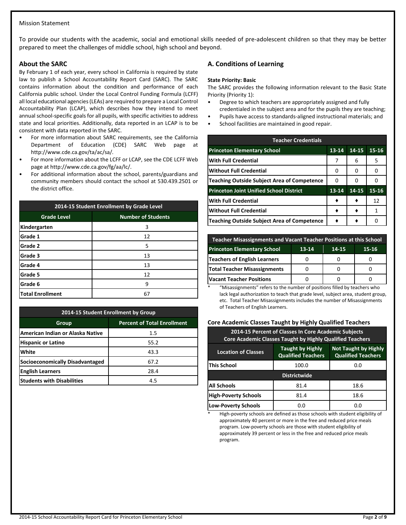# Mission Statement

To provide our students with the academic, social and emotional skills needed of pre-adolescent children so that they may be better prepared to meet the challenges of middle school, high school and beyond.

#### **About the SARC**

By February 1 of each year, every school in California is required by state law to publish a School Accountability Report Card (SARC). The SARC contains information about the condition and performance of each California public school. Under the Local Control Funding Formula (LCFF) all local educational agencies (LEAs) are required to prepare a Local Control Accountability Plan (LCAP), which describes how they intend to meet annual school-specific goals for all pupils, with specific activities to address state and local priorities. Additionally, data reported in an LCAP is to be consistent with data reported in the SARC.

- For more information about SARC requirements, see the California Department of Education (CDE) SARC Web page at http://www.cde.ca.gov/ta/ac/sa/.
- For more information about the LCFF or LCAP, see the CDE LCFF Web page at http://www.cde.ca.gov/fg/aa/lc/.
- For additional information about the school, parents/guardians and community members should contact the school at 530.439.2501 or the district office.

| 2014-15 Student Enrollment by Grade Level |                           |  |  |  |  |
|-------------------------------------------|---------------------------|--|--|--|--|
| <b>Grade Level</b>                        | <b>Number of Students</b> |  |  |  |  |
| Kindergarten                              | 3                         |  |  |  |  |
| Grade 1                                   | 12                        |  |  |  |  |
| Grade 2                                   | 5                         |  |  |  |  |
| Grade 3                                   | 13                        |  |  |  |  |
| Grade 4                                   | 13                        |  |  |  |  |
| Grade 5                                   | 12                        |  |  |  |  |
| Grade 6<br>9                              |                           |  |  |  |  |
| <b>Total Enrollment</b>                   | 6                         |  |  |  |  |

| 2014-15 Student Enrollment by Group         |         |  |  |  |  |  |
|---------------------------------------------|---------|--|--|--|--|--|
| <b>Percent of Total Enrollment</b><br>Group |         |  |  |  |  |  |
| American Indian or Alaska Native            | $1.5\,$ |  |  |  |  |  |
| <b>Hispanic or Latino</b>                   | 55.2    |  |  |  |  |  |
| White                                       | 43.3    |  |  |  |  |  |
| Socioeconomically Disadvantaged             | 67.2    |  |  |  |  |  |
| <b>English Learners</b>                     | 28.4    |  |  |  |  |  |
| <b>Students with Disabilities</b>           | 4.5     |  |  |  |  |  |

# **A. Conditions of Learning**

#### **State Priority: Basic**

The SARC provides the following information relevant to the Basic State Priority (Priority 1):

- Degree to which teachers are appropriately assigned and fully credentialed in the subject area and for the pupils they are teaching;
- Pupils have access to standards-aligned instructional materials; and
- School facilities are maintained in good repair.

| <b>Teacher Credentials</b>                         |           |       |           |  |  |  |  |
|----------------------------------------------------|-----------|-------|-----------|--|--|--|--|
| <b>Princeton Elementary School</b>                 | $13 - 14$ | 14-15 | $15 - 16$ |  |  |  |  |
| <b>With Full Credential</b>                        | 7         | 6     | 5         |  |  |  |  |
| <b>Without Full Credential</b>                     | U         | O     | 0         |  |  |  |  |
| <b>Teaching Outside Subject Area of Competence</b> | U         | n     | 0         |  |  |  |  |
| <b>Princeton Joint Unified School District</b>     | 13-14     | 14-15 | $15 - 16$ |  |  |  |  |
| <b>With Full Credential</b>                        |           |       | 12        |  |  |  |  |
| <b>Without Full Credential</b>                     |           |       | 1         |  |  |  |  |
| <b>Teaching Outside Subject Area of Competence</b> |           |       |           |  |  |  |  |

| <b>Teacher Misassignments and Vacant Teacher Positions at this School</b> |  |  |  |  |  |  |  |
|---------------------------------------------------------------------------|--|--|--|--|--|--|--|
| <b>Princeton Elementary School</b><br>13-14<br>$15 - 16$<br>14-15         |  |  |  |  |  |  |  |
| <b>Teachers of English Learners</b>                                       |  |  |  |  |  |  |  |
| <b>Total Teacher Misassignments</b>                                       |  |  |  |  |  |  |  |
| <b>Vacant Teacher Positions</b>                                           |  |  |  |  |  |  |  |

"Misassignments" refers to the number of positions filled by teachers who lack legal authorization to teach that grade level, subject area, student group, etc. Total Teacher Misassignments includes the number of Misassignments of Teachers of English Learners.

# **Core Academic Classes Taught by Highly Qualified Teachers**

| 2014-15 Percent of Classes In Core Academic Subjects<br><b>Core Academic Classes Taught by Highly Qualified Teachers</b>                       |       |      |  |  |  |  |  |
|------------------------------------------------------------------------------------------------------------------------------------------------|-------|------|--|--|--|--|--|
| <b>Not Taught by Highly</b><br><b>Taught by Highly</b><br><b>Location of Classes</b><br><b>Qualified Teachers</b><br><b>Qualified Teachers</b> |       |      |  |  |  |  |  |
| This School                                                                                                                                    | 100.0 | 0.0  |  |  |  |  |  |
| <b>Districtwide</b>                                                                                                                            |       |      |  |  |  |  |  |
| <b>All Schools</b>                                                                                                                             | 81.4  | 18.6 |  |  |  |  |  |
| <b>High-Poverty Schools</b>                                                                                                                    | 81.4  | 18.6 |  |  |  |  |  |
| <b>Low-Poverty Schools</b>                                                                                                                     | 0.0   | 0.0  |  |  |  |  |  |

High-poverty schools are defined as those schools with student eligibility of approximately 40 percent or more in the free and reduced price meals program. Low-poverty schools are those with student eligibility of approximately 39 percent or less in the free and reduced price meals program.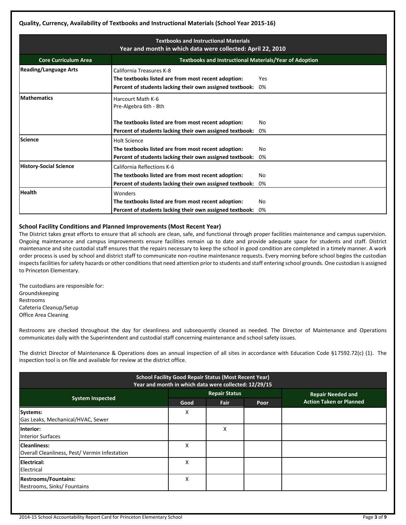# **Quality, Currency, Availability of Textbooks and Instructional Materials (School Year 2015-16)**

| <b>Textbooks and Instructional Materials</b><br>Year and month in which data were collected: April 22, 2010 |                                                                                                                                                          |     |  |  |  |  |  |
|-------------------------------------------------------------------------------------------------------------|----------------------------------------------------------------------------------------------------------------------------------------------------------|-----|--|--|--|--|--|
| <b>Core Curriculum Area</b>                                                                                 | <b>Textbooks and Instructional Materials/Year of Adoption</b>                                                                                            |     |  |  |  |  |  |
| <b>Reading/Language Arts</b>                                                                                | California Treasures K-8<br>The textbooks listed are from most recent adoption:<br>Yes<br>0%<br>Percent of students lacking their own assigned textbook: |     |  |  |  |  |  |
| <b>Mathematics</b>                                                                                          | Harcourt Math K-6<br>Pre-Algebra 6th - 8th                                                                                                               |     |  |  |  |  |  |
|                                                                                                             | The textbooks listed are from most recent adoption:                                                                                                      | No  |  |  |  |  |  |
|                                                                                                             | Percent of students lacking their own assigned textbook:                                                                                                 | 0%  |  |  |  |  |  |
| Science                                                                                                     | <b>Holt Science</b>                                                                                                                                      |     |  |  |  |  |  |
|                                                                                                             | The textbooks listed are from most recent adoption:                                                                                                      | No  |  |  |  |  |  |
|                                                                                                             | Percent of students lacking their own assigned textbook:                                                                                                 | 0%  |  |  |  |  |  |
| <b>History-Social Science</b>                                                                               | California Reflections K-6                                                                                                                               |     |  |  |  |  |  |
|                                                                                                             | The textbooks listed are from most recent adoption:                                                                                                      | No  |  |  |  |  |  |
|                                                                                                             | Percent of students lacking their own assigned textbook:                                                                                                 | 0%  |  |  |  |  |  |
| <b>Health</b>                                                                                               | Wonders                                                                                                                                                  |     |  |  |  |  |  |
|                                                                                                             | The textbooks listed are from most recent adoption:                                                                                                      | No. |  |  |  |  |  |
|                                                                                                             | Percent of students lacking their own assigned textbook:                                                                                                 | 0%  |  |  |  |  |  |

# **School Facility Conditions and Planned Improvements (Most Recent Year)**

The District takes great efforts to ensure that all schools are clean, safe, and functional through proper facilities maintenance and campus supervision. Ongoing maintenance and campus improvements ensure facilities remain up to date and provide adequate space for students and staff. District maintenance and site custodial staff ensures that the repairs necessary to keep the school in good condition are completed in a timely manner. A work order process is used by school and district staff to communicate non-routine maintenance requests. Every morning before school begins the custodian inspects facilities for safety hazards or other conditions that need attention prior to students and staff entering school grounds. One custodian is assigned to Princeton Elementary.

The custodians are responsible for: Groundskeeping Restrooms Cafeteria Cleanup/Setup Office Area Cleaning

Restrooms are checked throughout the day for cleanliness and subsequently cleaned as needed. The Director of Maintenance and Operations communicates daily with the Superintendent and custodial staff concerning maintenance and school safety issues.

The district Director of Maintenance & Operations does an annual inspection of all sites in accordance with Education Code §17592.72(c) (1). The inspection tool is on file and available for review at the district office.

| <b>School Facility Good Repair Status (Most Recent Year)</b><br>Year and month in which data were collected: 12/29/15 |      |                      |      |                                |  |  |
|-----------------------------------------------------------------------------------------------------------------------|------|----------------------|------|--------------------------------|--|--|
|                                                                                                                       |      | <b>Repair Status</b> |      | <b>Repair Needed and</b>       |  |  |
| <b>System Inspected</b>                                                                                               | Good | Fair                 | Poor | <b>Action Taken or Planned</b> |  |  |
| Systems:<br>Gas Leaks, Mechanical/HVAC, Sewer                                                                         | x    |                      |      |                                |  |  |
| Interior:<br><b>Interior Surfaces</b>                                                                                 |      | X                    |      |                                |  |  |
| <b>Cleanliness:</b><br>Overall Cleanliness, Pest/Vermin Infestation                                                   | X    |                      |      |                                |  |  |
| Electrical:<br>Electrical                                                                                             | X    |                      |      |                                |  |  |
| <b>Restrooms/Fountains:</b><br>Restrooms, Sinks/ Fountains                                                            | X    |                      |      |                                |  |  |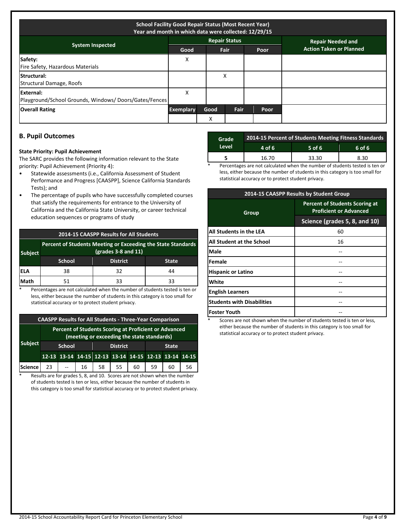| <b>School Facility Good Repair Status (Most Recent Year)</b><br>Year and month in which data were collected: 12/29/15 |                  |      |                      |      |                                |  |
|-----------------------------------------------------------------------------------------------------------------------|------------------|------|----------------------|------|--------------------------------|--|
|                                                                                                                       |                  |      | <b>Repair Status</b> |      | <b>Repair Needed and</b>       |  |
| <b>System Inspected</b>                                                                                               | Good             |      | <b>Fair</b>          | Poor | <b>Action Taken or Planned</b> |  |
| Safety:<br>Fire Safety, Hazardous Materials                                                                           | x                |      |                      |      |                                |  |
| Structural:<br>Structural Damage, Roofs                                                                               |                  |      | X                    |      |                                |  |
| External:<br>Playground/School Grounds, Windows/Doors/Gates/Fences                                                    | X                |      |                      |      |                                |  |
| <b>Overall Rating</b>                                                                                                 | <b>Exemplary</b> | Good | Fair                 | Poor |                                |  |
|                                                                                                                       |                  | X    |                      |      |                                |  |

# **B. Pupil Outcomes**

#### **State Priority: Pupil Achievement**

The SARC provides the following information relevant to the State priority: Pupil Achievement (Priority 4):

- Statewide assessments (i.e., California Assessment of Student Performance and Progress [CAASPP], Science California Standards Tests); and
- The percentage of pupils who have successfully completed courses that satisfy the requirements for entrance to the University of California and the California State University, or career technical education sequences or programs of study

|  | 2014-15 CAASPP Results for All Students |  |
|--|-----------------------------------------|--|
|--|-----------------------------------------|--|

| <b>Subject</b> | Percent of Students Meeting or Exceeding the State Standards<br>$(grades 3-8 and 11)$ |                 |              |  |  |  |  |
|----------------|---------------------------------------------------------------------------------------|-----------------|--------------|--|--|--|--|
|                | <b>School</b>                                                                         | <b>District</b> | <b>State</b> |  |  |  |  |
| iela           | 38                                                                                    | 32              | 44           |  |  |  |  |
| <b>Math</b>    | 51                                                                                    | 33              | 33           |  |  |  |  |

Percentages are not calculated when the number of students tested is ten or less, either because the number of students in this category is too small for statistical accuracy or to protect student privacy.

| <b>CAASPP Results for All Students - Three-Year Comparison</b> |                                                                                                     |  |  |  |                                                       |  |           |    |    |
|----------------------------------------------------------------|-----------------------------------------------------------------------------------------------------|--|--|--|-------------------------------------------------------|--|-----------|----|----|
|                                                                | Percent of Students Scoring at Proficient or Advanced<br>(meeting or exceeding the state standards) |  |  |  |                                                       |  |           |    |    |
| <b>Subject</b>                                                 | <b>District</b><br><b>School</b><br><b>State</b>                                                    |  |  |  |                                                       |  |           |    |    |
|                                                                |                                                                                                     |  |  |  | 12-13 13-14 14-15 12-13 13-14 14-15 12-13 13-14 14-15 |  |           |    |    |
| Science 23 - 16 58 55                                          |                                                                                                     |  |  |  |                                                       |  | $60$   59 | 60 | 56 |

\* Results are for grades 5, 8, and 10. Scores are not shown when the number of students tested is ten or less, either because the number of students in this category is too small for statistical accuracy or to protect student privacy.

| Grade | 2014-15 Percent of Students Meeting Fitness Standards |        |        |  |  |  |  |
|-------|-------------------------------------------------------|--------|--------|--|--|--|--|
| Level | 4 of 6                                                | 5 of 6 | 6 of 6 |  |  |  |  |
|       | 16.70                                                 | 33.30  | 8.30   |  |  |  |  |

Percentages are not calculated when the number of students tested is ten or less, either because the number of students in this category is too small for statistical accuracy or to protect student privacy.

| 2014-15 CAASPP Results by Student Group |                                                                        |  |  |  |  |  |
|-----------------------------------------|------------------------------------------------------------------------|--|--|--|--|--|
| Group                                   | <b>Percent of Students Scoring at</b><br><b>Proficient or Advanced</b> |  |  |  |  |  |
|                                         | Science (grades 5, 8, and 10)                                          |  |  |  |  |  |
| All Students in the LEA                 | 60                                                                     |  |  |  |  |  |
| <b>All Student at the School</b>        | 16                                                                     |  |  |  |  |  |
| Male                                    |                                                                        |  |  |  |  |  |
| Female                                  |                                                                        |  |  |  |  |  |
| <b>Hispanic or Latino</b>               |                                                                        |  |  |  |  |  |
| White                                   |                                                                        |  |  |  |  |  |
| <b>English Learners</b>                 |                                                                        |  |  |  |  |  |
| <b>Students with Disabilities</b>       |                                                                        |  |  |  |  |  |
| <b>Foster Youth</b>                     |                                                                        |  |  |  |  |  |

Scores are not shown when the number of students tested is ten or less, either because the number of students in this category is too small for statistical accuracy or to protect student privacy.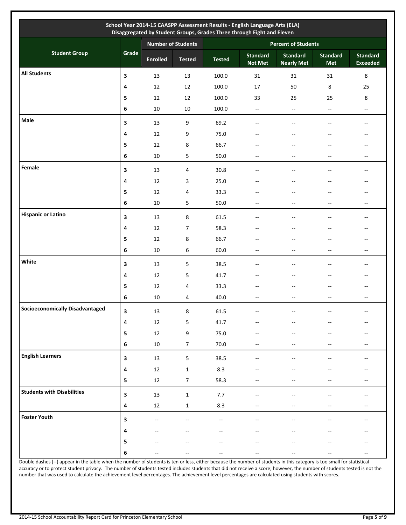|                                        |                         |                 | Number of Students | <b>Percent of Students</b> |                                   |                                      |                          |                                                     |  |
|----------------------------------------|-------------------------|-----------------|--------------------|----------------------------|-----------------------------------|--------------------------------------|--------------------------|-----------------------------------------------------|--|
| <b>Student Group</b>                   | Grade                   | <b>Enrolled</b> | <b>Tested</b>      | <b>Tested</b>              | <b>Standard</b><br><b>Not Met</b> | <b>Standard</b><br><b>Nearly Met</b> | <b>Standard</b><br>Met   | <b>Standard</b><br><b>Exceeded</b>                  |  |
| <b>All Students</b>                    | 3                       | 13              | 13                 | 100.0                      | 31                                | 31                                   | 31                       | $\bf 8$                                             |  |
|                                        | 4                       | 12              | 12                 | 100.0                      | $17\,$                            | 50                                   | 8                        | 25                                                  |  |
|                                        | 5                       | 12              | 12                 | 100.0                      | 33                                | 25                                   | 25                       | 8                                                   |  |
|                                        | 6                       | $10\,$          | $10\,$             | 100.0                      | Ξ.                                | $\overline{\phantom{a}}$             | Ξ.                       | $\overline{\phantom{a}}$                            |  |
| Male                                   | 3                       | 13              | 9                  | 69.2                       | --                                | --                                   |                          | $\overline{\phantom{m}}$                            |  |
|                                        | 4                       | 12              | 9                  | 75.0                       |                                   |                                      |                          | --                                                  |  |
|                                        | 5                       | 12              | $\,8\,$            | 66.7                       |                                   |                                      |                          |                                                     |  |
|                                        | 6                       | 10              | 5                  | 50.0                       | --                                | --                                   | --                       | $\hspace{0.05cm} -\hspace{0.05cm} -\hspace{0.05cm}$ |  |
| Female                                 | 3                       | 13              | 4                  | 30.8                       |                                   | $-$                                  |                          | $\overline{\phantom{a}}$                            |  |
|                                        | 4                       | 12              | 3                  | 25.0                       | --                                |                                      |                          | $\overline{\phantom{a}}$                            |  |
|                                        | 5                       | 12              | 4                  | 33.3                       |                                   | $-$                                  |                          | $\overline{\phantom{a}}$                            |  |
|                                        | 6                       | 10              | 5                  | $50.0\,$                   | $- -$                             | $-$                                  | $-$                      | $\overline{\phantom{a}}$                            |  |
| <b>Hispanic or Latino</b>              | 3                       | 13              | 8                  | 61.5                       | $-$                               | $-$                                  | $-$                      | $\overline{\phantom{a}}$                            |  |
|                                        | 4                       | 12              | $\boldsymbol{7}$   | 58.3                       | --                                | $-$                                  |                          | $\overline{\phantom{a}}$                            |  |
|                                        | 5                       | 12              | 8                  | 66.7                       | $-$                               | $-$                                  | $-$                      | $\overline{\phantom{a}}$                            |  |
|                                        | 6                       | 10              | $\boldsymbol{6}$   | 60.0                       | $\overline{\phantom{a}}$          | $\overline{\phantom{a}}$             | $- -$                    | $\overline{\phantom{a}}$                            |  |
| White                                  | 3                       | 13              | 5                  | 38.5                       | --                                | --                                   | --                       | $\hspace{0.05cm} -\hspace{0.05cm} -\hspace{0.05cm}$ |  |
|                                        | 4                       | 12              | 5                  | 41.7                       | --                                | --                                   |                          | $\overline{\phantom{m}}$                            |  |
|                                        | 5                       | 12              | 4                  | 33.3                       | --                                | --                                   |                          | $\hspace{0.05cm} -\hspace{0.05cm} -\hspace{0.05cm}$ |  |
|                                        | 6                       | $10\,$          | 4                  | 40.0                       | $\overline{\phantom{a}}$          | --                                   | $-$                      | $\overline{\phantom{a}}$                            |  |
| <b>Socioeconomically Disadvantaged</b> | 3                       | $13\,$          | 8                  | 61.5                       |                                   |                                      |                          |                                                     |  |
|                                        | 4                       | $12\,$          | 5                  | 41.7                       |                                   |                                      |                          | $-$                                                 |  |
|                                        | 5                       | $12\,$          | 9                  | $75.0\,$                   |                                   |                                      |                          | $\hspace{0.05cm}$ – $\hspace{0.05cm}$               |  |
|                                        | 6                       | $10\,$          | $\overline{7}$     | 70.0                       | $\overline{\phantom{a}}$          | --                                   | --                       | $\overline{\phantom{a}}$                            |  |
| <b>English Learners</b>                | 3                       | 13              | $\mathsf S$        | 38.5                       | $- -$                             |                                      |                          | $\overline{\phantom{a}}$                            |  |
|                                        | $\boldsymbol{4}$        | $12\,$          | $\mathbf{1}$       | 8.3                        |                                   |                                      |                          | $\overline{\phantom{m}}$                            |  |
|                                        | 5                       | $12\,$          | 7                  | 58.3                       |                                   |                                      |                          | $\hspace{0.05cm} -\hspace{0.05cm} -\hspace{0.05cm}$ |  |
| <b>Students with Disabilities</b>      |                         |                 |                    |                            |                                   |                                      |                          |                                                     |  |
|                                        | $\overline{\mathbf{3}}$ | $13\,$          | $\mathbf{1}$       | 7.7                        | $-$                               |                                      |                          | $\hspace{0.05cm} -\hspace{0.05cm} -\hspace{0.05cm}$ |  |
|                                        | 4                       | $12\,$          | $\mathbf 1$        | 8.3                        | $\overline{\phantom{a}}$          | $\overline{\phantom{a}}$             | $\overline{\phantom{a}}$ | $\overline{\phantom{a}}$                            |  |
| <b>Foster Youth</b>                    | 3                       |                 |                    |                            |                                   |                                      |                          |                                                     |  |
|                                        | 4                       |                 |                    | --                         |                                   | --                                   |                          | $\hspace{0.05cm} -\hspace{0.05cm} -\hspace{0.05cm}$ |  |
|                                        | $\overline{\mathbf{5}}$ |                 |                    |                            |                                   |                                      |                          |                                                     |  |
|                                        | 6                       |                 |                    | --                         |                                   | --                                   | --                       | $\overline{\phantom{a}}$                            |  |

Double dashes (--) appear in the table when the number of students is ten or less, either because the number of students in this category is too small for statistical accuracy or to protect student privacy. The number of students tested includes students that did not receive a score; however, the number of students tested is not the number that was used to calculate the achievement level percentages. The achievement level percentages are calculated using students with scores.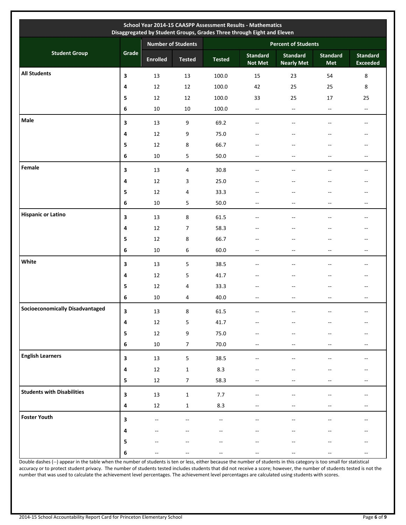|                                        |                         | <b>Number of Students</b> |                  | <b>Percent of Students</b> |                                   |                                      |                               |                                                     |  |
|----------------------------------------|-------------------------|---------------------------|------------------|----------------------------|-----------------------------------|--------------------------------------|-------------------------------|-----------------------------------------------------|--|
| <b>Student Group</b>                   | Grade                   | <b>Enrolled</b>           | <b>Tested</b>    | <b>Tested</b>              | <b>Standard</b><br><b>Not Met</b> | <b>Standard</b><br><b>Nearly Met</b> | <b>Standard</b><br><b>Met</b> | <b>Standard</b><br><b>Exceeded</b>                  |  |
| <b>All Students</b>                    | 3                       | 13                        | 13               | 100.0                      | 15                                | 23                                   | 54                            | $\,8\,$                                             |  |
|                                        | 4                       | 12                        | 12               | 100.0                      | 42                                | 25                                   | 25                            | 8                                                   |  |
|                                        | 5                       | 12                        | 12               | 100.0                      | 33                                | 25                                   | 17                            | 25                                                  |  |
|                                        | 6                       | $10\,$                    | $10\,$           | 100.0                      | $\overline{\phantom{a}}$          | $\overline{\phantom{a}}$             | $\overline{\phantom{a}}$      | $\overline{\phantom{a}}$                            |  |
| Male                                   | 3                       | 13                        | 9                | 69.2                       | $\overline{\phantom{a}}$          | $\overline{\phantom{a}}$             | $-$                           | $\overline{\phantom{a}}$                            |  |
|                                        | 4                       | 12                        | 9                | 75.0                       | --                                | $\overline{\phantom{a}}$             | --                            | $\overline{\phantom{a}}$                            |  |
|                                        | 5                       | 12                        | 8                | 66.7                       |                                   |                                      |                               | $\overline{\phantom{a}}$                            |  |
|                                        | 6                       | $10\,$                    | 5                | 50.0                       | --                                | $\overline{a}$                       | $-$                           | $\overline{\phantom{a}}$                            |  |
| Female                                 | 3                       | 13                        | 4                | 30.8                       | --                                | --                                   |                               | $\hspace{0.05cm}$                                   |  |
|                                        | 4                       | 12                        | 3                | 25.0                       | --                                | $-$                                  | $-$                           | $\overline{\phantom{a}}$                            |  |
|                                        | 5                       | 12                        | 4                | 33.3                       |                                   | --                                   |                               | $-$                                                 |  |
|                                        | 6                       | 10                        | 5                | 50.0                       | $- -$                             | $-$                                  | $-$                           | $\overline{\phantom{a}}$                            |  |
| <b>Hispanic or Latino</b>              | 3                       | 13                        | 8                | 61.5                       |                                   | --                                   |                               | $-\,$                                               |  |
|                                        | 4                       | 12                        | 7                | 58.3                       |                                   |                                      |                               | --                                                  |  |
|                                        | 5                       | 12                        | 8                | 66.7                       | --                                | --                                   |                               | $\hspace{0.05cm}$                                   |  |
|                                        | 6                       | $10\,$                    | 6                | 60.0                       | $\overline{\phantom{a}}$          | $\overline{\phantom{a}}$             | $\overline{\phantom{a}}$      | $\overline{\phantom{a}}$                            |  |
| White                                  | 3                       | 13                        | 5                | 38.5                       |                                   | $-$                                  |                               | $\overline{\phantom{a}}$                            |  |
|                                        | 4                       | 12                        | 5                | 41.7                       | --                                | --                                   |                               | $\overline{\phantom{a}}$                            |  |
|                                        | 5                       | 12                        | 4                | 33.3                       | $-$                               | --                                   | $-$                           | $\hspace{0.05cm}$                                   |  |
|                                        | 6                       | $10\,$                    | 4                | 40.0                       | --                                | --                                   | --                            | $\overline{\phantom{a}}$                            |  |
| <b>Socioeconomically Disadvantaged</b> | 3                       | $13\,$                    | 8                | 61.5                       |                                   |                                      |                               |                                                     |  |
|                                        | $\pmb{4}$               | $12\,$                    | 5                | 41.7                       | --                                | $-$                                  |                               | $-\,$                                               |  |
|                                        | ${\sf s}$               | $12\,$                    | $\boldsymbol{9}$ | 75.0                       |                                   |                                      |                               | $\hspace{0.05cm}$                                   |  |
|                                        | 6                       | $10\,$                    | $\boldsymbol{7}$ | 70.0                       | $\overline{\phantom{a}}$          | $- -$                                | --                            | $\hspace{0.05cm} -\hspace{0.05cm} -\hspace{0.05cm}$ |  |
| <b>English Learners</b>                | $\overline{\mathbf{3}}$ | $13\,$                    | $\sqrt{5}$       | 38.5                       | $\overline{\phantom{a}}$          | $\overline{\phantom{a}}$             |                               | $\overline{\phantom{a}}$                            |  |
|                                        | $\pmb{4}$               | 12                        | $\mathbf 1$      | 8.3                        | $- -$                             | $-$                                  |                               | $\hspace{0.05cm} -\hspace{0.05cm} -\hspace{0.05cm}$ |  |
|                                        | 5                       | $12\,$                    | $\overline{7}$   | 58.3                       | --                                | --                                   | --                            | $\overline{\phantom{a}}$                            |  |
| <b>Students with Disabilities</b>      | 3                       | $13\,$                    | $\mathbf 1$      | 7.7                        | $- -$                             | --                                   |                               | $-\,$                                               |  |
|                                        | $\pmb{4}$               | $12\,$                    | $\mathbf 1$      | 8.3                        | $\overline{\phantom{a}}$          | $\overline{\phantom{a}}$             | --                            | $\overline{\phantom{m}}$                            |  |
| <b>Foster Youth</b>                    | 3                       |                           | ۵.               | 44                         | $-$                               |                                      |                               | $\overline{\phantom{a}}$                            |  |
|                                        | $\pmb{4}$               |                           |                  |                            |                                   |                                      |                               |                                                     |  |
|                                        | ${\bf 5}$               |                           |                  |                            |                                   |                                      |                               |                                                     |  |
|                                        | 6                       |                           |                  |                            |                                   |                                      |                               |                                                     |  |

Double dashes (--) appear in the table when the number of students is ten or less, either because the number of students in this category is too small for statistical accuracy or to protect student privacy. The number of students tested includes students that did not receive a score; however, the number of students tested is not the number that was used to calculate the achievement level percentages. The achievement level percentages are calculated using students with scores.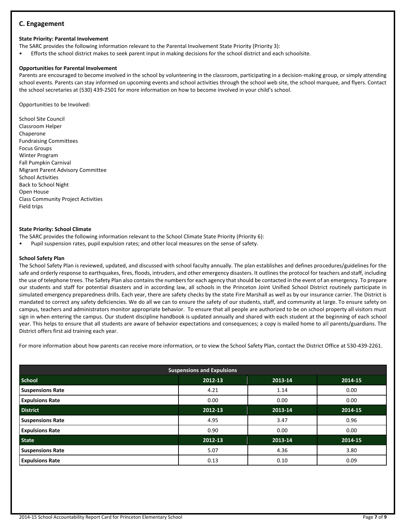# **C. Engagement**

# **State Priority: Parental Involvement**

The SARC provides the following information relevant to the Parental Involvement State Priority (Priority 3):

• Efforts the school district makes to seek parent input in making decisions for the school district and each schoolsite.

# **Opportunities for Parental Involvement**

Parents are encouraged to become involved in the school by volunteering in the classroom, participating in a decision-making group, or simply attending school events. Parents can stay informed on upcoming events and school activities through the school web site, the school marquee, and flyers. Contact the school secretaries at (530) 439-2501 for more information on how to become involved in your child's school.

Opportunities to be Involved:

School Site Council Classroom Helper Chaperone Fundraising Committees Focus Groups Winter Program Fall Pumpkin Carnival Migrant Parent Advisory Committee School Activities Back to School Night Open House Class Community Project Activities Field trips

#### **State Priority: School Climate**

The SARC provides the following information relevant to the School Climate State Priority (Priority 6):

Pupil suspension rates, pupil expulsion rates; and other local measures on the sense of safety.

#### **School Safety Plan**

The School Safety Plan is reviewed, updated, and discussed with school faculty annually. The plan establishes and defines procedures/guidelines for the safe and orderly response to earthquakes, fires, floods, intruders, and other emergency disasters. It outlines the protocol for teachers and staff, including the use of telephone trees. The Safety Plan also contains the numbers for each agency that should be contacted in the event of an emergency. To prepare our students and staff for potential disasters and in according law, all schools in the Princeton Joint Unified School District routinely participate in simulated emergency preparedness drills. Each year, there are safety checks by the state Fire Marshall as well as by our insurance carrier. The District is mandated to correct any safety deficiencies. We do all we can to ensure the safety of our students, staff, and community at large. To ensure safety on campus, teachers and administrators monitor appropriate behavior. To ensure that all people are authorized to be on school property all visitors must sign in when entering the campus. Our student discipline handbook is updated annually and shared with each student at the beginning of each school year. This helps to ensure that all students are aware of behavior expectations and consequences; a copy is mailed home to all parents/guardians. The District offers first aid training each year.

For more information about how parents can receive more information, or to view the School Safety Plan, contact the District Office at 530-439-2261.

| <b>Suspensions and Expulsions</b> |         |         |         |  |  |  |
|-----------------------------------|---------|---------|---------|--|--|--|
| <b>School</b>                     | 2012-13 | 2013-14 | 2014-15 |  |  |  |
| <b>Suspensions Rate</b>           | 4.21    | 1.14    | 0.00    |  |  |  |
| <b>Expulsions Rate</b>            | 0.00    | 0.00    | 0.00    |  |  |  |
| <b>District</b>                   | 2012-13 | 2013-14 | 2014-15 |  |  |  |
| <b>Suspensions Rate</b>           | 4.95    | 3.47    | 0.96    |  |  |  |
| <b>Expulsions Rate</b>            | 0.90    | 0.00    | 0.00    |  |  |  |
| <b>State</b>                      | 2012-13 | 2013-14 | 2014-15 |  |  |  |
| <b>Suspensions Rate</b>           | 5.07    | 4.36    | 3.80    |  |  |  |
| <b>Expulsions Rate</b>            | 0.13    | 0.10    | 0.09    |  |  |  |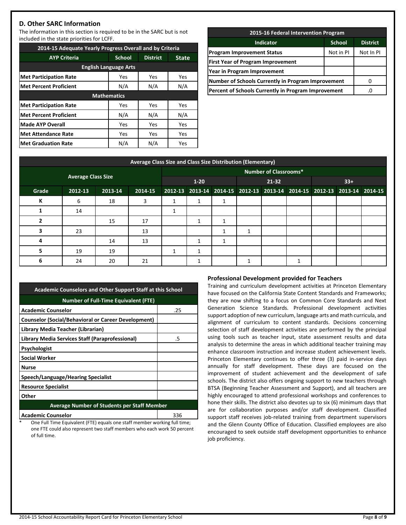# **D. Other SARC Information**

The information in this section is required to be in the SARC but is not included in the state priorities for LCFF.

| 2014-15 Adequate Yearly Progress Overall and by Criteria |                    |                 |              |  |  |  |  |  |
|----------------------------------------------------------|--------------------|-----------------|--------------|--|--|--|--|--|
| <b>AYP Criteria</b>                                      | <b>School</b>      | <b>District</b> | <b>State</b> |  |  |  |  |  |
| <b>English Language Arts</b>                             |                    |                 |              |  |  |  |  |  |
| <b>Met Participation Rate</b>                            | Yes                | Yes             | Yes          |  |  |  |  |  |
| <b>Met Percent Proficient</b>                            | N/A                | N/A             | N/A          |  |  |  |  |  |
|                                                          | <b>Mathematics</b> |                 |              |  |  |  |  |  |
| <b>Met Participation Rate</b>                            | Yes                | Yes             | Yes          |  |  |  |  |  |
| <b>Met Percent Proficient</b>                            | N/A                | N/A             | N/A          |  |  |  |  |  |
| Made AYP Overall                                         | Yes                | Yes             | Yes          |  |  |  |  |  |
| <b>Met Attendance Rate</b>                               | Yes                | Yes             | Yes          |  |  |  |  |  |
| <b>Met Graduation Rate</b>                               | N/A                | N/A             | Yes          |  |  |  |  |  |

| 2015-16 Federal Intervention Program                      |           |  |  |  |  |  |
|-----------------------------------------------------------|-----------|--|--|--|--|--|
| <b>District</b><br><b>Indicator</b><br><b>School</b>      |           |  |  |  |  |  |
| <b>Program Improvement Status</b>                         | Not In PI |  |  |  |  |  |
| <b>First Year of Program Improvement</b>                  |           |  |  |  |  |  |
| Year in Program Improvement                               |           |  |  |  |  |  |
| <b>Number of Schools Currently in Program Improvement</b> |           |  |  |  |  |  |
| Percent of Schools Currently in Program Improvement       | .C        |  |  |  |  |  |
|                                                           |           |  |  |  |  |  |

| <b>Average Class Size and Class Size Distribution (Elementary)</b> |         |         |         |                              |                        |   |                                                                         |  |   |       |  |  |
|--------------------------------------------------------------------|---------|---------|---------|------------------------------|------------------------|---|-------------------------------------------------------------------------|--|---|-------|--|--|
| <b>Average Class Size</b>                                          |         |         |         | <b>Number of Classrooms*</b> |                        |   |                                                                         |  |   |       |  |  |
|                                                                    |         |         |         | $1 - 20$                     |                        |   | 21-32                                                                   |  |   | $33+$ |  |  |
| Grade                                                              | 2012-13 | 2013-14 | 2014-15 |                              |                        |   | 2012-13 2013-14 2014-15 2012-13 2013-14 2014-15 2012-13 2013-14 2014-15 |  |   |       |  |  |
| К                                                                  | 6       | 18      | 3       |                              | 1                      |   |                                                                         |  |   |       |  |  |
|                                                                    | 14      |         |         |                              |                        |   |                                                                         |  |   |       |  |  |
|                                                                    |         | 15      | 17      |                              | 1                      |   |                                                                         |  |   |       |  |  |
| з                                                                  | 23      |         | 13      |                              |                        | 1 | 1                                                                       |  |   |       |  |  |
| 4                                                                  |         | 14      | 13      |                              | 1                      |   |                                                                         |  |   |       |  |  |
|                                                                    | 19      | 19      |         |                              | 1                      |   |                                                                         |  |   |       |  |  |
| 6                                                                  | 24      | 20      | 21      |                              | $\mathbf{\mathcal{L}}$ |   |                                                                         |  | ٠ |       |  |  |

| <b>Academic Counselors and Other Support Staff at this School</b> |     |  |  |  |  |
|-------------------------------------------------------------------|-----|--|--|--|--|
| <b>Number of Full-Time Equivalent (FTE)</b>                       |     |  |  |  |  |
| <b>Academic Counselor</b>                                         | .25 |  |  |  |  |
| <b>Counselor (Social/Behavioral or Career Development)</b>        |     |  |  |  |  |
| Library Media Teacher (Librarian)                                 |     |  |  |  |  |
| Library Media Services Staff (Paraprofessional)                   | .5  |  |  |  |  |
| Psychologist                                                      |     |  |  |  |  |
| <b>Social Worker</b>                                              |     |  |  |  |  |
| <b>Nurse</b>                                                      |     |  |  |  |  |
| Speech/Language/Hearing Specialist                                |     |  |  |  |  |
| <b>Resource Specialist</b>                                        |     |  |  |  |  |
| Other                                                             |     |  |  |  |  |
| <b>Average Number of Students per Staff Member</b>                |     |  |  |  |  |
| <b>Academic Counselor</b>                                         | 336 |  |  |  |  |

One Full Time Equivalent (FTE) equals one staff member working full time; one FTE could also represent two staff members who each work 50 percent of full time.

#### **Professional Development provided for Teachers**

Training and curriculum development activities at Princeton Elementary have focused on the California State Content Standards and Frameworks; they are now shifting to a focus on Common Core Standards and Next Generation Science Standards. Professional development activities support adoption of new curriculum, language arts and math curricula, and alignment of curriculum to content standards. Decisions concerning selection of staff development activities are performed by the principal using tools such as teacher input, state assessment results and data analysis to determine the areas in which additional teacher training may enhance classroom instruction and increase student achievement levels. Princeton Elementary continues to offer three (3) paid in-service days annually for staff development. These days are focused on the improvement of student achievement and the development of safe schools. The district also offers ongoing support to new teachers through BTSA (Beginning Teacher Assessment and Support), and all teachers are highly encouraged to attend professional workshops and conferences to hone their skills. The district also devotes up to six (6) minimum days that are for collaboration purposes and/or staff development. Classified support staff receives job-related training from department supervisors and the Glenn County Office of Education. Classified employees are also encouraged to seek outside staff development opportunities to enhance job proficiency.